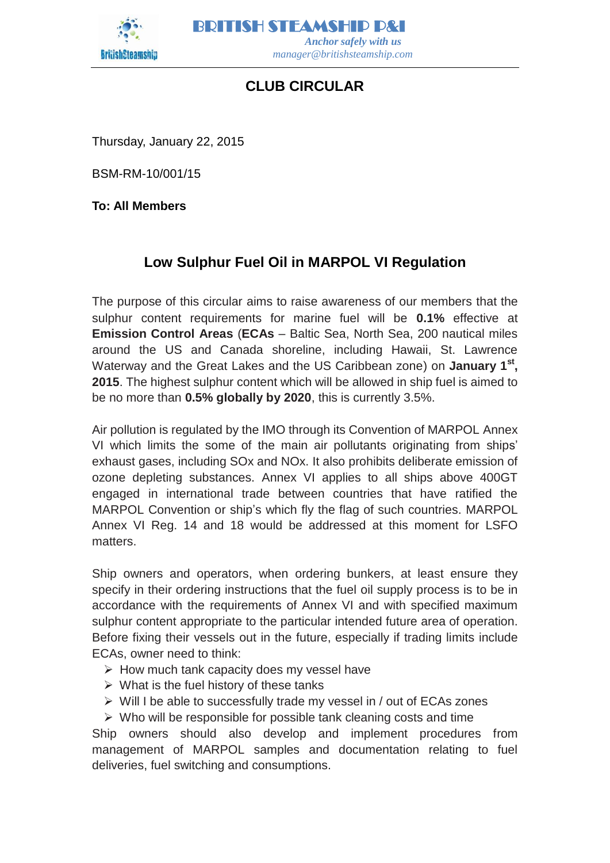

BRITISH STEAMSHIP P&I  *Anchor safely with us manager@britishsteamship.com* 

## **CLUB CIRCULAR**

Thursday, January 22, 2015

BSM-RM-10/001/15

**To: All Members**

## **Low Sulphur Fuel Oil in MARPOL VI Regulation**

The purpose of this circular aims to raise awareness of our members that the sulphur content requirements for marine fuel will be **0.1%** effective at **Emission Control Areas** (**ECAs** – Baltic Sea, North Sea, 200 nautical miles around the US and Canada shoreline, including Hawaii, St. Lawrence Waterway and the Great Lakes and the US Caribbean zone) on **January 1st , 2015**. The highest sulphur content which will be allowed in ship fuel is aimed to be no more than **0.5% globally by 2020**, this is currently 3.5%.

Air pollution is regulated by the IMO through its Convention of MARPOL Annex VI which limits the some of the main air pollutants originating from ships' exhaust gases, including SOx and NOx. It also prohibits deliberate emission of ozone depleting substances. Annex VI applies to all ships above 400GT engaged in international trade between countries that have ratified the MARPOL Convention or ship's which fly the flag of such countries. MARPOL Annex VI Reg. 14 and 18 would be addressed at this moment for LSFO matters.

Ship owners and operators, when ordering bunkers, at least ensure they specify in their ordering instructions that the fuel oil supply process is to be in accordance with the requirements of Annex VI and with specified maximum sulphur content appropriate to the particular intended future area of operation. Before fixing their vessels out in the future, especially if trading limits include ECAs, owner need to think:

- $\triangleright$  How much tank capacity does my vessel have
- $\triangleright$  What is the fuel history of these tanks
- $\triangleright$  Will I be able to successfully trade my vessel in / out of ECAs zones
- $\triangleright$  Who will be responsible for possible tank cleaning costs and time

Ship owners should also develop and implement procedures from management of MARPOL samples and documentation relating to fuel deliveries, fuel switching and consumptions.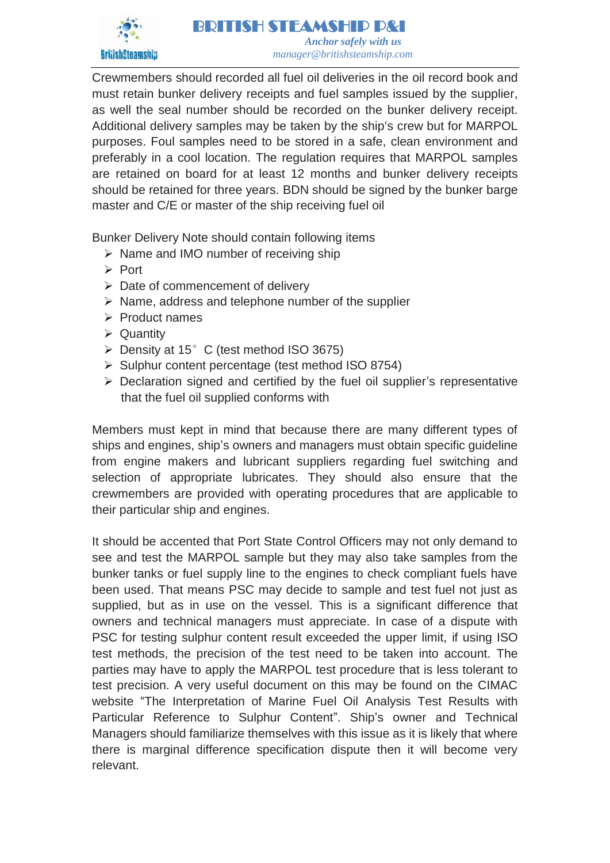

Crewmembers should recorded all fuel oil deliveries in the oil record book and must retain bunker delivery receipts and fuel samples issued by the supplier, as well the seal number should be recorded on the bunker delivery receipt. Additional delivery samples may be taken by the ship's crew but for MARPOL purposes. Foul samples need to be stored in a safe, clean environment and preferably in a cool location. The regulation requires that MARPOL samples are retained on board for at least 12 months and bunker delivery receipts should be retained for three years. BDN should be signed by the bunker barge master and C/E or master of the ship receiving fuel oil

Bunker Delivery Note should contain following items

- $\triangleright$  Name and IMO number of receiving ship
- $\triangleright$  Port
- $\triangleright$  Date of commencement of delivery
- $\triangleright$  Name, address and telephone number of the supplier
- $\triangleright$  Product names
- $\triangleright$  Quantity
- $\triangleright$  Density at 15° C (test method ISO 3675)
- $\triangleright$  Sulphur content percentage (test method ISO 8754)
- $\triangleright$  Declaration signed and certified by the fuel oil supplier's representative that the fuel oil supplied conforms with

Members must kept in mind that because there are many different types of ships and engines, ship's owners and managers must obtain specific guideline from engine makers and lubricant suppliers regarding fuel switching and selection of appropriate lubricates. They should also ensure that the crewmembers are provided with operating procedures that are applicable to their particular ship and engines.

It should be accented that Port State Control Officers may not only demand to see and test the MARPOL sample but they may also take samples from the bunker tanks or fuel supply line to the engines to check compliant fuels have been used. That means PSC may decide to sample and test fuel not just as supplied, but as in use on the vessel. This is a significant difference that owners and technical managers must appreciate. In case of a dispute with PSC for testing sulphur content result exceeded the upper limit, if using ISO test methods, the precision of the test need to be taken into account. The parties may have to apply the MARPOL test procedure that is less tolerant to test precision. A very useful document on this may be found on the CIMAC website "The Interpretation of Marine Fuel Oil Analysis Test Results with Particular Reference to Sulphur Content". Ship's owner and Technical Managers should familiarize themselves with this issue as it is likely that where there is marginal difference specification dispute then it will become very relevant.